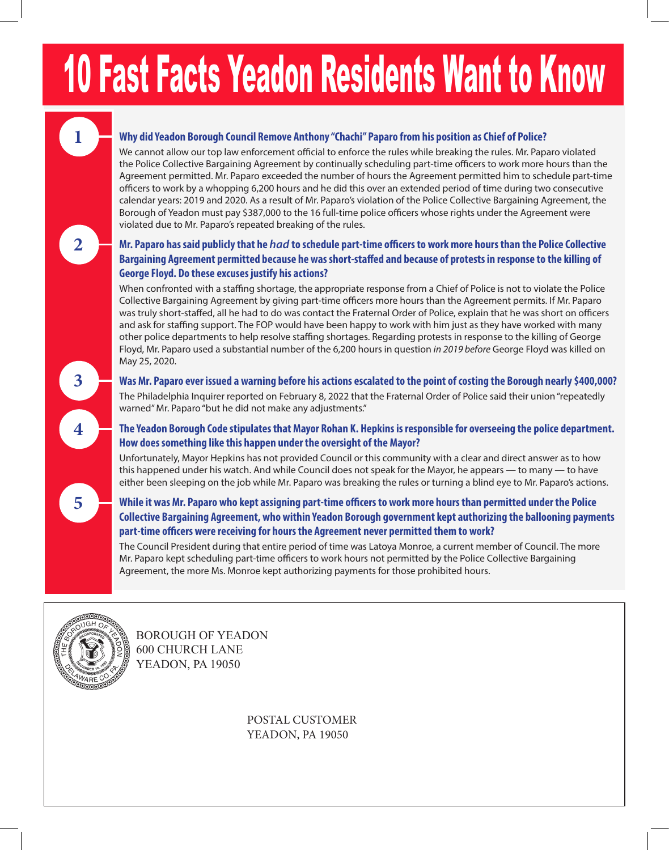# 10 Fast Facts Yeadon Residents Want to Know

# **Why did Yeadon Borough Council Remove Anthony "Chachi" Paparo from his position as Chief of Police?**

We cannot allow our top law enforcement official to enforce the rules while breaking the rules. Mr. Paparo violated the Police Collective Bargaining Agreement by continually scheduling part-time officers to work more hours than the Agreement permitted. Mr. Paparo exceeded the number of hours the Agreement permitted him to schedule part-time officers to work by a whopping 6,200 hours and he did this over an extended period of time during two consecutive calendar years: 2019 and 2020. As a result of Mr. Paparo's violation of the Police Collective Bargaining Agreement, the Borough of Yeadon must pay \$387,000 to the 16 full-time police officers whose rights under the Agreement were violated due to Mr. Paparo's repeated breaking of the rules.

# **2**

**3**

**4**

**5**

**1**

### **Mr. Paparo has said publicly that he** *had* **to schedule part-time officers to work more hours than the Police Collective Bargaining Agreement permitted because he was short-staffed and because of protests in response to the killing of George Floyd. Do these excuses justify his actions?**

When confronted with a staffing shortage, the appropriate response from a Chief of Police is not to violate the Police Collective Bargaining Agreement by giving part-time officers more hours than the Agreement permits. If Mr. Paparo was truly short-staffed, all he had to do was contact the Fraternal Order of Police, explain that he was short on officers and ask for staffing support. The FOP would have been happy to work with him just as they have worked with many other police departments to help resolve staffing shortages. Regarding protests in response to the killing of George Floyd, Mr. Paparo used a substantial number of the 6,200 hours in question *in 2019 before* George Floyd was killed on May 25, 2020.

#### **Was Mr. Paparo ever issued a warning before his actions escalated to the point of costing the Borough nearly \$400,000?** The Philadelphia Inquirer reported on February 8, 2022 that the Fraternal Order of Police said their union "repeatedly warned" Mr. Paparo "but he did not make any adjustments."

# **The Yeadon Borough Code stipulates that Mayor Rohan K. Hepkins is responsible for overseeing the police department. How does something like this happen under the oversight of the Mayor?**

Unfortunately, Mayor Hepkins has not provided Council or this community with a clear and direct answer as to how this happened under his watch. And while Council does not speak for the Mayor, he appears — to many — to have either been sleeping on the job while Mr. Paparo was breaking the rules or turning a blind eye to Mr. Paparo's actions.

### **While it was Mr. Paparo who kept assigning part-time officers to work more hours than permitted under the Police Collective Bargaining Agreement, who within Yeadon Borough government kept authorizing the ballooning payments part-time officers were receiving for hours the Agreement never permitted them to work?**

The Council President during that entire period of time was Latoya Monroe, a current member of Council. The more Mr. Paparo kept scheduling part-time officers to work hours not permitted by the Police Collective Bargaining Agreement, the more Ms. Monroe kept authorizing payments for those prohibited hours.



BOROUGH OF YEADON 600 CHURCH LANE YEADON, PA 19050

> POSTAL CUSTOMER YEADON, PA 19050